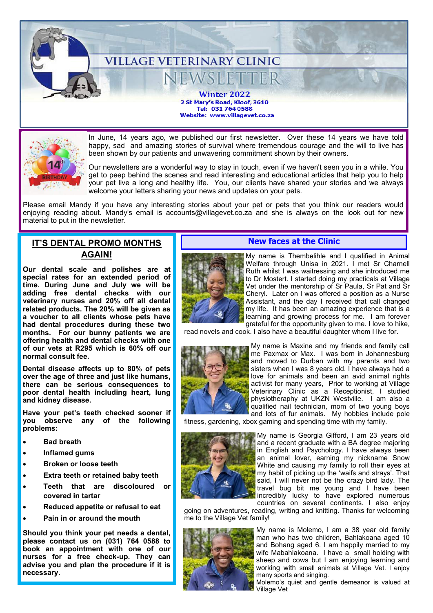**VILLAGE VETERINARY CLINIC** *N*SIETTER **Winter 2022** 2 St Mary's Road, Kloof, 3610 Tel: 031 764 0588 Website: www.villagevet.co.za



In June, 14 years ago, we published our first newsletter. Over these 14 years we have told happy, sad and amazing stories of survival where tremendous courage and the will to live has been shown by our patients and unwavering commitment shown by their owners.

Our newsletters are a wonderful way to stay in touch, even if we haven't seen you in a while. You get to peep behind the scenes and read interesting and educational articles that help you to help your pet live a long and healthy life. You, our clients have shared your stories and we always welcome your letters sharing your news and updates on your pets.

Please email Mandy if you have any interesting stories about your pet or pets that you think our readers would enjoying reading about. Mandy's email is accounts@villagevet.co.za and she is always on the look out for new material to put in the newsletter.

# **IT'S DENTAL PROMO MONTHS AGAIN!**

**Our dental scale and polishes are at special rates for an extended period of time. During June and July we will be adding free dental checks with our veterinary nurses and 20% off all dental related products. The 20% will be given as a voucher to all clients whose pets have had dental procedures during these two months. For our bunny patients we are offering health and dental checks with one of our vets at R295 which is 60% off our normal consult fee.**

**Dental disease affects up to 80% of pets over the age of three and just like humans, there can be serious consequences to poor dental health including heart, lung and kidney disease.**

**Have your pet's teeth checked sooner if you observe any of the following problems:**

- **Bad breath**
- **Inflamed gums**
- **Broken or loose teeth**
- **Extra teeth or retained baby teeth**
- **Teeth that are discoloured or covered in tartar**
- **Reduced appetite or refusal to eat**
- **Pain in or around the mouth**

**Should you think your pet needs a dental, please contact us on (031) 764 0588 to book an appointment with one of our nurses for a free check-up. They can advise you and plan the procedure if it is necessary.**

# **New faces at the Clinic**



My name is Thembelihle and I qualified in Animal Welfare through Unisa in 2021. I met Sr Charnell Ruth whilst I was waitressing and she introduced me to Dr Mostert. I started doing my practicals at Village Vet under the mentorship of Sr Paula, Sr Pat and Sr Cheryl. Later on I was offered a position as a Nurse Assistant, and the day I received that call changed my life. It has been an amazing experience that is a learning and growing process for me. I am forever grateful for the opportunity given to me. I love to hike,

read novels and cook. I also have a beautiful daughter whom I live for.



My name is Maxine and my friends and family call me Paxmax or Max. I was born in Johannesburg and moved to Durban with my parents and two sisters when I was 8 years old. I have always had a love for animals and been an avid animal rights activist for many years, Prior to working at Village **Veterinary Clinic** as a Receptionist, I studied physiotheraphy at UKZN Westville. I am also a qualified nail technician, mom of two young boys and lots of fur animals. My hobbies include pole

fitness, gardening, xbox gaming and spending time with my family.



My name is Georgia Gifford, I am 23 years old and a recent graduate with a BA degree majoring in English and Psychology. I have always been an animal lover, earning my nickname Snow White and causing my family to roll their eyes at my habit of picking up the 'waifs and strays'. That said, I will never not be the crazy bird lady. The travel bug bit me young and I have been incredibly lucky to have explored numerous countries on several continents. I also enjoy

going on adventures, reading, writing and knitting. Thanks for welcoming me to the Village Vet family!



My name is Molemo, I am a 38 year old family man who has two children, Bahlakoana aged 10 and Bohang aged 6. I am happily married to my wife Mabahlakoana. I have a small holding with sheep and cows but I am enjoying learning and working with small animals at Village Vet. I enjoy many sports and singing.

Molemo's quiet and gentle demeanor is valued at Village Vet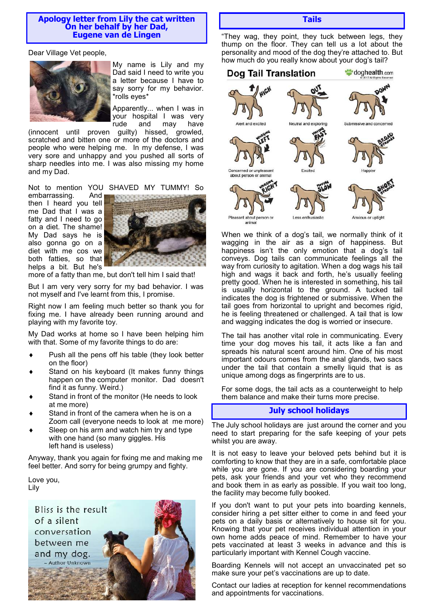#### **Apology letter from Lily the cat written On her behalf by her Dad, Eugene van de Lingen**

Dear Village Vet people,



My name is Lily and my Dad said I need to write you a letter because I have to say sorry for my behavior. \*rolls eyes\*

Apparently... when I was in your hospital I was very rude and may have

(innocent until proven guilty) hissed, growled, scratched and bitten one or more of the doctors and people who were helping me. In my defense, I was very sore and unhappy and you pushed all sorts of sharp needles into me. I was also missing my home and my Dad.

Not to mention YOU SHAVED MY TUMMY! So embarrassing. And then I heard you tell me Dad that I was a fatty and I need to go on a diet. The shame! My Dad says he is also gonna go on a diet with me cos we both fatties, so that helps a bit. But he's



more of a fatty than me, but don't tell him I said that!

But I am very very sorry for my bad behavior. I was not myself and I've learnt from this, I promise.

Right now I am feeling much better so thank you for fixing me. I have already been running around and playing with my favorite toy.

My Dad works at home so I have been helping him with that. Some of my favorite things to do are:

- Push all the pens off his table (they look better on the floor)
- Stand on his keyboard (It makes funny things happen on the computer monitor. Dad doesn't find it as funny. Weird.)
- Stand in front of the monitor (He needs to look at me more)
- Stand in front of the camera when he is on a Zoom call (everyone needs to look at me more)
- Sleep on his arm and watch him try and type with one hand (so many giggles. His left hand is useless)

Anyway, thank you again for fixing me and making me feel better. And sorry for being grumpy and fighty.

Love you, Lily



**Tails**

"They wag, they point, they tuck between legs, they thump on the floor. They can tell us a lot about the personality and mood of the dog they're attached to. But how much do you really know about your dog's tail?



When we think of a dog's tail, we normally think of it wagging in the air as a sign of happiness. But happiness isn't the only emotion that a dog's tail conveys. Dog tails can communicate feelings all the way from curiosity to agitation. When a dog wags his tail high and wags it back and forth, he's usually feeling pretty good. When he is interested in something, his tail is usually horizontal to the ground. A tucked tail indicates the dog is frightened or submissive. When the tail goes from horizontal to upright and becomes rigid, he is feeling threatened or challenged. A tail that is low and wagging indicates the dog is worried or insecure.

The tail has another vital role in communicating. Every time your dog moves his tail, it acts like a fan and spreads his natural scent around him. One of his most important odours comes from the anal glands, two sacs under the tail that contain a smelly liquid that is as unique among dogs as fingerprints are to us.

For some dogs, the tail acts as a counterweight to help them balance and make their turns more precise.

# **July school holidays**

The July school holidays are just around the corner and you need to start preparing for the safe keeping of your pets whilst you are away.

It is not easy to leave your beloved pets behind but it is comforting to know that they are in a safe, comfortable place while you are gone. If you are considering boarding your pets, ask your friends and your vet who they recommend and book them in as early as possible. If you wait too long, the facility may become fully booked.

If you don't want to put your pets into boarding kennels, consider hiring a pet sitter either to come in and feed your pets on a daily basis or alternatively to house sit for you. Knowing that your pet receives individual attention in your own home adds peace of mind. Remember to have your pets vaccinated at least 3 weeks in advance and this is particularly important with Kennel Cough vaccine.

Boarding Kennels will not accept an unvaccinated pet so make sure your pet's vaccinations are up to date.

Contact our ladies at reception for kennel recommendations and appointments for vaccinations.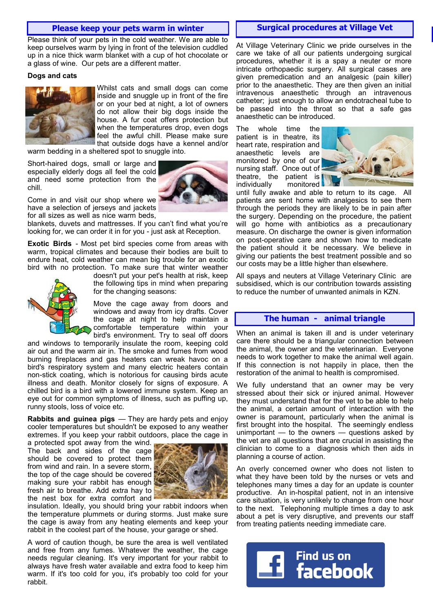## **Please keep your pets warm in winter hoursand Hospital Surgical procedures at Village Vet**

Please think of your pets in the cold weather. We are able to keep ourselves warm by lying in front of the television cuddled up in a nice thick warm blanket with a cup of hot chocolate or a glass of wine. Our pets are a different matter.

#### **Dogs and cats**



Whilst cats and small dogs can come inside and snuggle up in front of the fire or on your bed at night, a lot of owners do not allow their big dogs inside the house. A fur coat offers protection but when the temperatures drop, even dogs feel the awful chill. Please make sure that outside dogs have a kennel and/or

warm bedding in a sheltered spot to snuggle into.

Short-haired dogs, small or large and especially elderly dogs all feel the cold and need some protection from the chill.



Come in and visit our shop where we have a selection of jerseys and jackets for all sizes as well as nice warm beds,

blankets, duvets and mattresses. If you can't find what you're looking for, we can order it in for you - just ask at Reception.

**Exotic Birds** - Most pet bird species come from areas with warm, tropical climates and because their bodies are built to endure heat, cold weather can mean big trouble for an exotic bird with no protection. To make sure that winter weather



doesn't put your pet's health at risk, keep the following tips in mind when preparing for the changing seasons:

Move the cage away from doors and windows and away from icy drafts. Cover the cage at night to help maintain a comfortable temperature within your bird's environment. Try to seal off doors

and windows to temporarily insulate the room, keeping cold air out and the warm air in. The smoke and fumes from wood burning fireplaces and gas heaters can wreak havoc on a bird's respiratory system and many electric heaters contain non-stick coating, which is notorious for causing birds acute illness and death. Monitor closely for signs of exposure. A chilled bird is a bird with a lowered immune system. Keep an eye out for common symptoms of illness, such as puffing up, runny stools, loss of voice etc.

**Rabbits and guinea pigs** — They are hardy pets and enjoy cooler temperatures but shouldn't be exposed to any weather extremes. If you keep your rabbit outdoors, place the cage in

a protected spot away from the wind. The back and sides of the cage should be covered to protect them from wind and rain. In a severe storm, the top of the cage should be covered making sure your rabbit has enough fresh air to breathe. Add extra hay to the nest box for extra comfort and



insulation. Ideally, you should bring your rabbit indoors when the temperature plummets or during storms. Just make sure the cage is away from any heating elements and keep your rabbit in the coolest part of the house, your garage or shed.

A word of caution though, be sure the area is well ventilated and free from any fumes. Whatever the weather, the cage needs regular cleaning. It's very important for your rabbit to always have fresh water available and extra food to keep him warm. If it's too cold for you, it's probably too cold for your rabbit.

At Village Veterinary Clinic we pride ourselves in the care we take of all our patients undergoing surgical procedures, whether it is a spay a neuter or more intricate orthopaedic surgery. All surgical cases are given premedication and an analgesic (pain killer) prior to the anaesthetic. They are then given an initial intravenous anaesthetic through an intravenous catheter; just enough to allow an endotracheal tube to be passed into the throat so that a safe gas anaesthetic can be introduced.

The whole time the patient is in theatre, its heart rate, respiration and anaesthetic levels are monitored by one of our nursing staff. Once out of theatre, the patient is individually monitored



until fully awake and able to return to its cage. All patients are sent home with analgesics to see them through the periods they are likely to be in pain after the surgery. Depending on the procedure, the patient will go home with antibiotics as a precautionary measure. On discharge the owner is given information on post-operative care and shown how to medicate the patient should it be necessary. We believe in giving our patients the best treatment possible and so our costs may be a little higher than elsewhere.

All spays and neuters at Village Veterinary Clinic are subsidised, which is our contribution towards assisting to reduce the number of unwanted animals in KZN.

#### **The human - animal triangle**

When an animal is taken ill and is under veterinary care there should be a triangular connection between the animal, the owner and the veterinarian. Everyone needs to work together to make the animal well again. If this connection is not happily in place, then the restoration of the animal to health is compromised.

We fully understand that an owner may be very stressed about their sick or injured animal. However they must understand that for the vet to be able to help the animal, a certain amount of interaction with the owner is paramount, particularly when the animal is first brought into the hospital. The seemingly endless unimportant — to the owners — questions asked by the vet are all questions that are crucial in assisting the clinician to come to a diagnosis which then aids in planning a course of action.

An overly concerned owner who does not listen to what they have been told by the nurses or vets and telephones many times a day for an update is counter productive. An in-hospital patient, not in an intensive care situation, is very unlikely to change from one hour to the next. Telephoning multiple times a day to ask about a pet is very disruptive, and prevents our staff from treating patients needing immediate care.

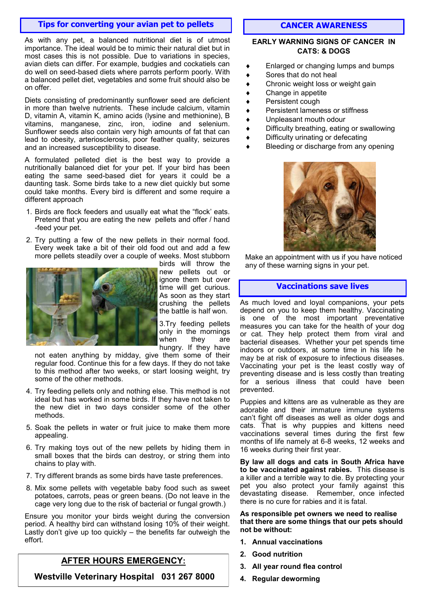# **Tips for converting your avian pet to pellets**

As with any pet, a balanced nutritional diet is of utmost importance. The ideal would be to mimic their natural diet but in most cases this is not possible. Due to variations in species, avian diets can differ. For example, budgies and cockatiels can do well on seed-based diets where parrots perform poorly. With a balanced pellet diet, vegetables and some fruit should also be on offer.

Diets consisting of predominantly sunflower seed are deficient in more than twelve nutrients. These include calcium, vitamin D, vitamin A, vitamin K, amino acids (lysine and methionine), B vitamins, manganese, zinc, iron, iodine and selenium. Sunflower seeds also contain very high amounts of fat that can lead to obesity, arteriosclerosis, poor feather quality, seizures and an increased susceptibility to disease.

A formulated pelleted diet is the best way to provide a nutritionally balanced diet for your pet. If your bird has been eating the same seed-based diet for years it could be a daunting task. Some birds take to a new diet quickly but some could take months. Every bird is different and some require a different approach

- 1. Birds are flock feeders and usually eat what the "flock' eats. Pretend that you are eating the new pellets and offer / hand -feed your pet.
- 2. Try putting a few of the new pellets in their normal food. Every week take a bit of their old food out and add a few more pellets steadily over a couple of weeks. Most stubborn



birds will throw the new pellets out or ignore them but over time will get curious. As soon as they start crushing the pellets the battle is half won.

3.Try feeding pellets only in the mornings when they are hungry. If they have

not eaten anything by midday, give them some of their regular food. Continue this for a few days. If they do not take to this method after two weeks, or start loosing weight, try some of the other methods.

- 4. Try feeding pellets only and nothing else. This method is not ideal but has worked in some birds. If they have not taken to the new diet in two days consider some of the other methods.
- 5. Soak the pellets in water or fruit juice to make them more appealing.
- 6. Try making toys out of the new pellets by hiding them in small boxes that the birds can destroy, or string them into chains to play with.
- 7. Try different brands as some birds have taste preferences.
- 8. Mix some pellets with vegetable baby food such as sweet potatoes, carrots, peas or green beans. (Do not leave in the cage very long due to the risk of bacterial or fungal growth.)

Ensure you monitor your birds weight during the conversion period. A healthy bird can withstand losing 10% of their weight. Lastly don't give up too quickly – the benefits far outweigh the effort.

# **AFTER HOURS EMERGENCY:**

**Westville Veterinary Hospital 031 267 8000**

# **CANCER AWARENESS**

#### **EARLY WARNING SIGNS OF CANCER IN CATS: & DOGS**

- Enlarged or changing lumps and bumps
- Sores that do not heal
- Chronic weight loss or weight gain
- Change in appetite
- Persistent cough
- Persistent lameness or stiffness
- Unpleasant mouth odour
- Difficulty breathing, eating or swallowing
- Difficulty urinating or defecating
- Bleeding or discharge from any opening



Make an appointment with us if you have noticed any of these warning signs in your pet.

## **Vaccinations save lives**

As much loved and loyal companions, your pets depend on you to keep them healthy. Vaccinating is one of the most important preventative measures you can take for the health of your dog or cat. They help protect them from viral and bacterial diseases. Whether your pet spends time indoors or outdoors, at some time in his life he may be at risk of exposure to infectious diseases. Vaccinating your pet is the least costly way of preventing disease and is less costly than treating for a serious illness that could have been prevented.

Puppies and kittens are as vulnerable as they are adorable and their immature immune systems can't fight off diseases as well as older dogs and cats. That is why puppies and kittens need vaccinations several times during the first few months of life namely at 6-8 weeks, 12 weeks and 16 weeks during their first year.

**By law all dogs and cats in South Africa have to be vaccinated against rabies.** This disease is a killer and a terrible way to die. By protecting your pet you also protect your family against this devastating disease. Remember, once infected there is no cure for rabies and it is fatal.

#### **As responsible pet owners we need to realise that there are some things that our pets should not be without:**

- **1. Annual vaccinations**
- **2. Good nutrition**
- **3. All year round flea control**
- **4. Regular deworming**